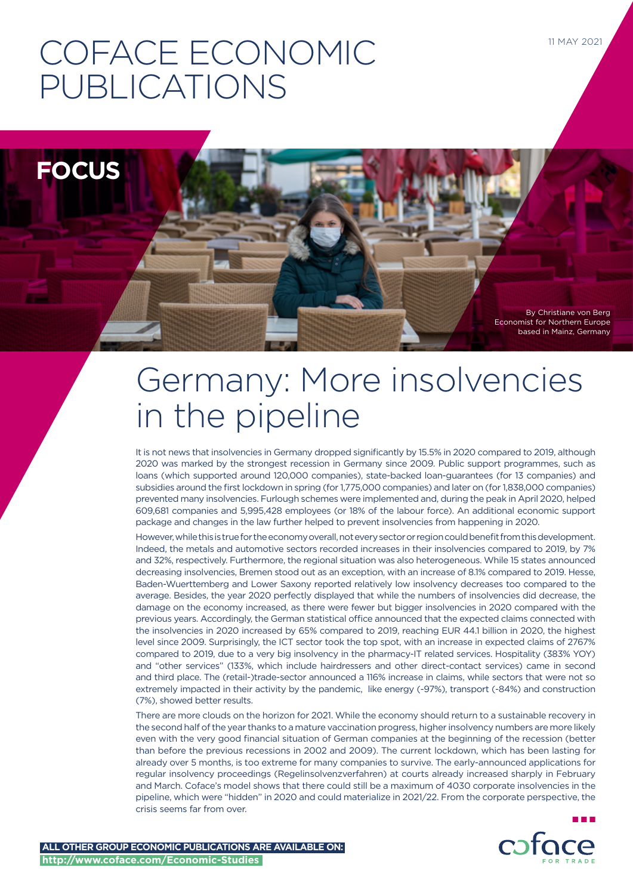# COFACE ECONOMIC PUBLICATIONS

**FOCUS**

By Christiane von Berg Economist for Northern Europe based in Mainz, Germany

11 MAY 2021

# Germany: More insolvencies in the pipeline

It is not news that insolvencies in Germany dropped significantly by 15.5% in 2020 compared to 2019, although 2020 was marked by the strongest recession in Germany since 2009. Public support programmes, such as loans (which supported around 120,000 companies), state-backed loan-guarantees (for 13 companies) and subsidies around the first lockdown in spring (for 1,775,000 companies) and later on (for 1,838,000 companies) prevented many insolvencies. Furlough schemes were implemented and, during the peak in April 2020, helped 609,681 companies and 5,995,428 employees (or 18% of the labour force). An additional economic support package and changes in the law further helped to prevent insolvencies from happening in 2020.

However, while this is true for the economy overall, not every sector or region could benefit from this development. Indeed, the metals and automotive sectors recorded increases in their insolvencies compared to 2019, by 7% and 32%, respectively. Furthermore, the regional situation was also heterogeneous. While 15 states announced decreasing insolvencies, Bremen stood out as an exception, with an increase of 8.1% compared to 2019. Hesse, Baden-Wuerttemberg and Lower Saxony reported relatively low insolvency decreases too compared to the average. Besides, the year 2020 perfectly displayed that while the numbers of insolvencies did decrease, the damage on the economy increased, as there were fewer but bigger insolvencies in 2020 compared with the previous years. Accordingly, the German statistical office announced that the expected claims connected with the insolvencies in 2020 increased by 65% compared to 2019, reaching EUR 44.1 billion in 2020, the highest level since 2009. Surprisingly, the ICT sector took the top spot, with an increase in expected claims of 2767% compared to 2019, due to a very big insolvency in the pharmacy-IT related services. Hospitality (383% YOY) and "other services" (133%, which include hairdressers and other direct-contact services) came in second and third place. The (retail-)trade-sector announced a 116% increase in claims, while sectors that were not so extremely impacted in their activity by the pandemic, like energy (-97%), transport (-84%) and construction (7%), showed better results.

There are more clouds on the horizon for 2021. While the economy should return to a sustainable recovery in the second half of the year thanks to a mature vaccination progress, higher insolvency numbers are more likely even with the very good financial situation of German companies at the beginning of the recession (better than before the previous recessions in 2002 and 2009). The current lockdown, which has been lasting for already over 5 months, is too extreme for many companies to survive. The early-announced applications for regular insolvency proceedings (Regelinsolvenzverfahren) at courts already increased sharply in February and March. Coface's model shows that there could still be a maximum of 4030 corporate insolvencies in the pipeline, which were "hidden" in 2020 and could materialize in 2021/22. From the corporate perspective, the crisis seems far from over.

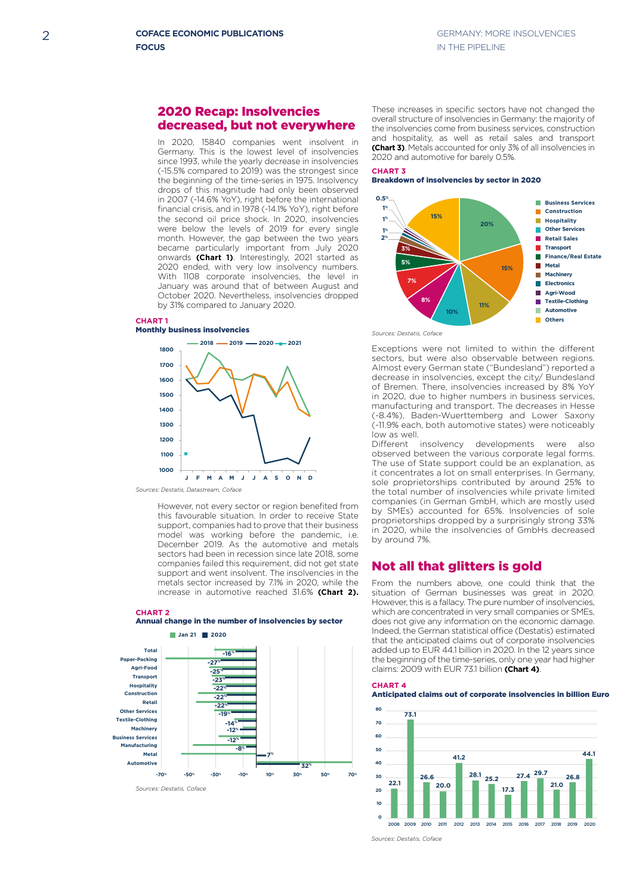# 2020 Recap: Insolvencies decreased, but not everywhere

**7% -8%** by 31% compared to January 2020. drops of this magnitude had only been observed **-16%** financial crisis, and in 1978 (-14.1% YoY), right before **-27%** the second oil price shock. In 2020, insolvencies were below the levels of 2019 for every single **-23%** month. However, the gap between the two years **-22% -22%** became particularly important from July 2020 **-22%** onwards **(Chart 1)**. Interestingly, 2021 started as **-19%** 2020 ended, with very low insolvency numbers. With 1108 corporate insolvencies, the level in **-12%** January was around that of between August and October 2020. Nevertheless, insolvencies dropped In 2020, 15840 companies went insolvent in Germany. This is the lowest level of insolvencies since 1993, while the yearly decrease in insolvencies (-15.5% compared to 2019) was the strongest since the beginning of the time-series in 1975. Insolvency in 2007 (-14.6% YoY), right before the international

# **CHART 1**



*Sources: Destatis, Datastream, Coface*

**i**ncrease in automotive reached 31.6% **(Chart 2). 10%** sectors had been in recession since late 2018, some metals sector increased by 7.1% in 2020, while the increased by 7.1% in 2020, while the support and went insolvent. The insolvencies in the **16% 18% 18% 18% 18% 18% 18% 18% 18% 18% 18% 18% 18% 18% 18% 18% 18% 18% 18% 18%** December 2019. As the automotive and metals model was working before the pandemic, i.e. **50% Simulated insolvencies** this favourable situation. In order to receive State **73.1 80** support, companies had to prove that their business However, not every sector or region benefited from

## **-22% -22% -30%** Annual change in the number of insolvencies by sector **10 CHART 2**



These increases in specific sectors have not changed the overall structure of insolvencies in Germany: the majority of the insolvencies come from business services, construction and hospitality, as well as retail sales and transport **(Chart 3)**. Metals accounted for only 3% of all insolvencies in 2020 and automotive for barely 0.5%.

#### **CHART 3** Breakdown of insolvencies by sector in 2020



*Sources: Destatis, Coface*

Amost every derman state (Bundesland *Treported a*<br>decrease in insolvencies, except the city/ Bundesland Exceptions were not limited to within the different sectors, but were also observable between regions. Almost every German state ("Bundesland") reported a of Bremen. There, insolvencies increased by 8% YoY in 2020, due to higher numbers in business services, manufacturing and transport. The decreases in Hesse **Construction -22%** (-8.4%), Baden-Wuerttemberg and Lower Saxony **Retail -22%** (-11.9% each, both automotive states) were noticeably low as well.<br>Different insolvency **Machinery** Cother, Baden Wachtte (19% each both autom **-25%**

0% 10% 20% 30% 40% 50% 60% 70% sole proprietorships contributed by around 25% to **-70% -50% -30% -10% 10% 30% 50% 70%** In 2020, while the insolvencies of GmbHs decreased<br><sup>1</sup> Different insolvency developments were also **-12%** bindrent inscrease acceptions were also observed between the various corporate legal forms. Ubserved between the various corporate legal forms.<br>The use of State support could be an explanation, as it concentrates a lot on small enterprises. In Germany, the total number of insolvencies while private limited companies (in German GmbH, which are mostly used by SMEs) accounted for 65%. Insolvencies of sole proprietorships dropped by a surprisingly strong 33% by around 7%. **Business Services**

#### **Not all that glitters is gold** ters is g

does not give any information on the economic damage. Transport Hospitality that the anticipated claims out of corporate insolvencies **0.5% Machinery** 2008 2009 2010 2011 2012 2013 2014 2015 2016 2017 2018 2019 2020 0% 10% 20% 30% 40% 50% 60% 70% From the numbers above, one could think that the situation of German businesses was great in 2020. However, this is a fallacy. The pure number of insolvencies, which are concentrated in very small companies or SMEs, Indeed, the German statistical office (Destatis) estimated added up to EUR 44.1 billion in 2020. In the 12 years since the beginning of the time-series, only one year had higher **15% Construction 1100 Manufacturing 2009** with EUR 73.1 billion **(Chart 4)**. **Hospitality Metal** From the numbers above, one could think that the





*Sources: Destatis, Coface*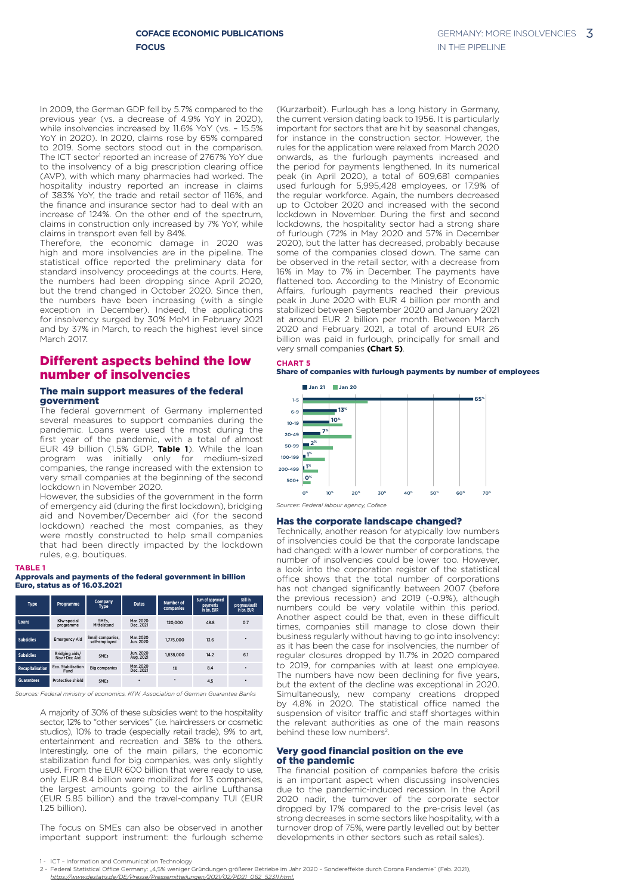In 2009, the German GDP fell by 5.7% compared to the previous year (vs. a decrease of 4.9% YoY in 2020), while insolvencies increased by 11.6% YoY (vs. – 15.5% YoY in 2020). In 2020, claims rose by 65% compared to 2019. Some sectors stood out in the comparison. The ICT sector<sup>1</sup> reported an increase of 2767% YoY due to the insolvency of a big prescription clearing office (AVP), with which many pharmacies had worked. The hospitality industry reported an increase in claims of 383% YoY, the trade and retail sector of 116%, and the finance and insurance sector had to deal with an increase of 124%. On the other end of the spectrum, claims in construction only increased by 7% YoY, while **2018 2019 2020 2021 Jan 21 2020** claims in transport even fell by 84%.

Therefore, the economic damage in 2020 was high and more insolvencies are in the pipeline. The statistical office reported the preliminary data for standard insolvency proceedings at the courts. Here, the numbers had been dropping since April 2020, the numbers had been dropping since April 2020,<br>but the trend changed in October 2020. Since then, the numbers have been increasing (with a single exception in December). Indeed, the applications for insolvency surged by 30% MoM in February 2021 and by 37% in March, to reach the highest level since March 2017.

# Different aspects behind the low number of insolvencies

# The main support measures of the federal **73.1** government

The federal government of Germany implemented several measures to support companies during the pandemic. Loans were used the most during the first year of the pandemic, with a total of almost EUR 49 billion (1.5% GDP, **Table 1**). While the loan **26.6 28.1 25.2 27.4 29.7** program was initially only for medium-sized **20.0 17.3** companies, the range increased with the extension to very small companies at the beginning of the second lockdown in November 2020. **1**). Wh

However, the subsidies of the government in the form of emergency aid (during the first lockdown), bridging aid and November/December aid (for the second lockdown) reached the most companies, as they were mostly constructed to help small companies that had been directly impacted by the lockdown **2001 2008 2019** rules, e.g. boutiques.



# **Equity Ratio** Euro, status as of 16.03.2021 Approvals and payments of the federal government in billion

| <b>Type</b>             | Programme                      | Company<br><b>Type</b>            | <b>Dates</b>           | Number of<br>companies | Sum of approved<br>payments<br>in bn. EUR | Still in<br>progress/audit<br>in bn. EUR |
|-------------------------|--------------------------------|-----------------------------------|------------------------|------------------------|-------------------------------------------|------------------------------------------|
| Loans                   | Kfw-special<br>programme       | SMEs.<br>Mittelstand              | Mar. 2020<br>Dec. 2021 | 120,000                | 48.8                                      | 0.7                                      |
| <b>Subsidies</b>        | <b>Emergency Aid</b>           | Small companies.<br>self-employed | Mar. 2020<br>Jun. 2020 | 1,775,000              | 13.6                                      | ٠                                        |
| <b>Subsidies</b>        | Bridging aids/<br>Nov.+Dec Aid | <b>SMEs</b>                       | Jun. 2020<br>Aug. 2021 | 1,838,000              | 14.2                                      | 6.1                                      |
| <b>Recapitalisation</b> | Eco. Stabilisation<br>Fund     | <b>Big companies</b>              | Mar. 2020<br>Dec. 2021 | 13                     | 8.4                                       | ٠                                        |
| <b>Guarantees</b>       | Protective shield              | <b>SMEs</b>                       | ٠                      | ٠                      | 4.5                                       | ٠                                        |

*Sources: Federal ministry of economics, KfW, Association of German Guarantee Banks*

A majority of 30% of these subsidies went to the hospitality sector, 12% to "other services" (i.e. hairdressers or cosmetic studios), 10% to trade (especially retail trade), 9% to art, entertainment and recreation and 38% to the others. Interestingly, one of the main pillars, the economic stabilization fund for big companies, was only slightly used. From the EUR 600 billion that were ready to use, only EUR 8.4 billion were mobilized for 13 companies, the largest amounts going to the airline Lufthansa (EUR 5.85 billion) and the travel-company TUI (EUR 1.25 billion).

The focus on SMEs can also be observed in another important support instrument: the furlough scheme

(Kurzarbeit). Furlough has a long history in Germany, the current version dating back to 1956. It is particularly important for sectors that are hit by seasonal changes, for instance in the construction sector. However, the rules for the application were relaxed from March 2020 onwards, as the furlough payments increased and the period for payments lengthened. In its numerical peak (in April 2020), a total of 609,681 companies used furlough for 5,995,428 employees, or 17.9% of the regular workforce. Again, the numbers decreased up to October 2020 and increased with the second lockdown in November. During the first and second lockdowns, the hospitality sector had a strong share of furlough (72% in May 2020 and 57% in December **0.5%** 2020), but the latter has decreased, probably because some of the companies closed down. The same can be observed in the retail sector, with a decrease from 16% in May to 7% in December. The payments have flattened too. According to the Ministry of Economic Affairs, furlough payments reached their previous **5% -22%** peak in June 2020 with EUR 4 billion per month and stabilized between September 2020 and January 2021 **7% -14% -12%** at around EUR 2 billion per month. Between March 2020 and February 2021, a total of around EUR 26 **8% -8%** billion was paid in furlough, principally for small and **7% 10% 70.** very small companies (Chart 5).

#### **CHART 5**

### Share of companies with furlough payments by number of employees



*Sources: Federal labour agency, Coface*

#### Has the corporate landscape changed?

Technically, another reason for atypically low numbers of insolvencies could be that the corporate landscape **39% 41% 40% Observed insolvencies "Hidden" insolvencies** had changed: with a lower number of corporations, the **30%** number of insolvencies could be lower too. However, **19% 22% 19%** a look into the corporation register of the statistical **20% 15% 18% 17%** office shows that the total number of corporations **10% 10% 6%** has not changed significantly between 2007 (before **0%** the previous recession) and 2019 (-0.9%), although **-5% -3% -10% -8%** numbers could be very volatile within this period. Another aspect could be that, even in these difficult times, companies still manage to close down their **-24% -22% -30%** business regularly without having to go into insolvency:<br>as it has been the case for insolvencies, the number of business regularly without having to go into insolvency:<br>as it has been the case for insolvencies, the number of regular closures dropped by 11.7% in 2020 compared to 2019, for companies with at least one employee. The numbers have now been declining for five years, but the extent of the decline was exceptional in 2020. Simultaneously, new company creations dropped by 4.8% in 2020. The statistical office named the suspension of visitor traffic and staff shortages within the relevant authorities as one of the main reasons behind these low numbers<sup>2</sup>.

### Very good financial position on the eve of the pandemic

The financial position of companies before the crisis is an important aspect when discussing insolvencies due to the pandemic-induced recession. In the April 2020 nadir, the turnover of the corporate sector dropped by 17% compared to the pre-crisis level (as strong decreases in some sectors like hospitality, with a turnover drop of 75%, were partly levelled out by better developments in other sectors such as retail sales).

<sup>-</sup> ICT - Information and Communication Technology

<sup>2 -</sup> Federal Statistical Office Germany: "4,5% weniger Gründungen größerer Betriebe im Jahr 2020 – Sondereffekte durch Corona Pandemie" (Feb. 2021),

*https://www.destatis.de/DE/Presse/Pressemitteilungen/2021/02/PD21\_062\_52311.html.*